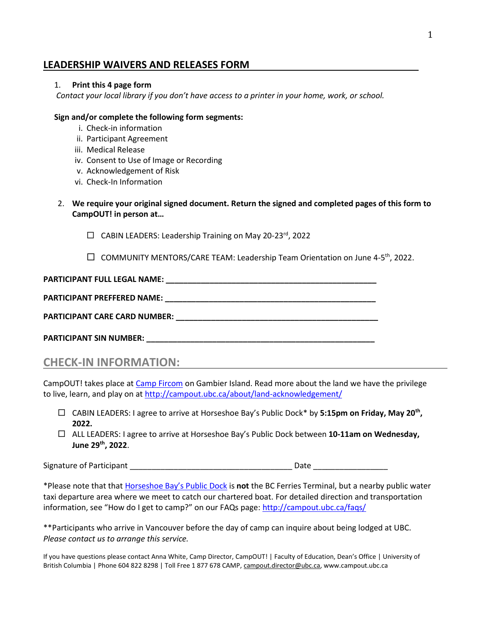### **LEADERSHIP WAIVERS AND RELEASES FORM**

### 1. **Print this 4 page form**

*Contact your local library if you don't have access to a printer in your home, work, or school.*

#### **Sign and/or complete the following form segments:**

- i. Check-in information
- ii. Participant Agreement
- iii. Medical Release
- iv. Consent to Use of Image or Recording
- v. Acknowledgement of Risk
- vi. Check-In Information
- 2. **We require your original signed document. Return the signed and completed pages of this form to CampOUT! in person at…**
	- $\Box$  CABIN LEADERS: Leadership Training on May 20-23<sup>rd</sup>, 2022
	- $\Box$  COMMUNITY MENTORS/CARE TEAM: Leadership Team Orientation on June 4-5<sup>th</sup>, 2022.

### **PARTICIPANT FULL LEGAL NAME: \_\_\_\_\_\_\_\_\_\_\_\_\_\_\_\_\_\_\_\_\_\_\_\_\_\_\_\_\_\_\_\_\_\_\_\_\_\_\_\_\_\_\_\_\_\_\_\_**

## **PARTICIPANT PREFFERED NAME: \_\_\_\_\_\_\_\_\_\_\_\_\_\_\_\_\_\_\_\_\_\_\_\_\_\_\_\_\_\_\_\_\_\_\_\_\_\_\_\_\_\_\_\_\_\_\_\_**

**PARTICIPANT CARE CARD NUMBER: \_\_\_\_\_\_\_\_\_\_\_\_\_\_\_\_\_\_\_\_\_\_\_\_\_\_\_\_\_\_\_\_\_\_\_\_\_\_\_\_\_\_\_\_\_\_**

**PARTICIPANT SIN NUMBER:**  $\blacksquare$ 

**CHECK-IN INFORMATION:**

CampOUT! takes place at [Camp Fircom](http://fircom.ca/) on Gambier Island. Read more about the land we have the privilege to live, learn, and play on a[t http://campout.ubc.ca/about/land-acknowledgement/](http://campout.ubc.ca/about/land-acknowledgement/)

- CABIN LEADERS: I agree to arrive at Horseshoe Bay's Public Dock\* by **5:15pm on Friday, May 20th , 2022.**
- ALL LEADERS: I agree to arrive at Horseshoe Bay's Public Dock between **10-11am on Wednesday, June 29th, 2022**.

Signature of Participant \_\_\_\_\_\_\_\_\_\_\_\_\_\_\_\_\_\_\_\_\_\_\_\_\_\_\_\_\_\_\_\_\_\_\_\_\_ Date \_\_\_\_\_\_\_\_\_\_\_\_\_\_\_\_\_

\*Please note that that [Horseshoe Bay's Public Dock](https://goo.gl/maps/Nqm3hLtvcKJEQqPH9) is **not** the BC Ferries Terminal, but a nearby public water taxi departure area where we meet to catch our chartered boat. For detailed direction and transportation information, see "How do I get to camp?" on our FAQs page: <http://campout.ubc.ca/faqs/>

\*\*Participants who arrive in Vancouver before the day of camp can inquire about being lodged at UBC. *Please contact us to arrange this service.*

If you have questions please contact Anna White, Camp Director, CampOUT! | Faculty of Education, Dean's Office | University of British Columbia | Phone 604 822 8298 | Toll Free 1 877 678 CAMP, [campout.director@ubc.ca,](mailto:campout.director@ubc.ca) www.campout.ubc.ca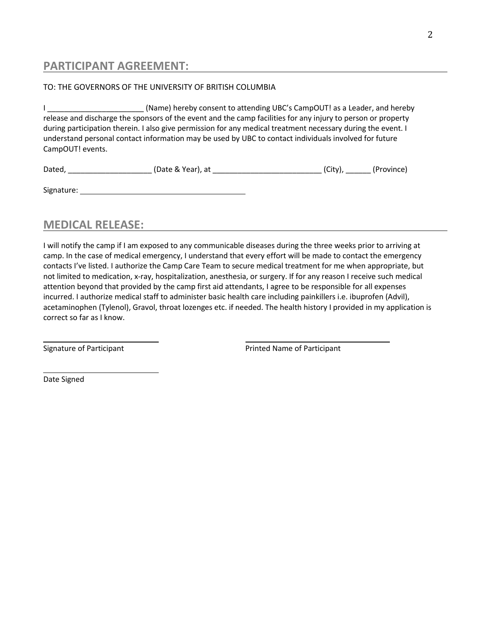## **PARTICIPANT AGREEMENT:**

### TO: THE GOVERNORS OF THE UNIVERSITY OF BRITISH COLUMBIA

I \_\_\_\_\_\_\_\_\_\_\_\_\_\_\_\_\_\_\_\_\_\_\_ (Name) hereby consent to attending UBC's CampOUT! as a Leader, and hereby release and discharge the sponsors of the event and the camp facilities for any injury to person or property during participation therein. I also give permission for any medical treatment necessary during the event. I understand personal contact information may be used by UBC to contact individuals involved for future CampOUT! events.

| Dated, |  | (Date & Year), at |  | $\sim$<br>`.+ | (Province) |  |
|--------|--|-------------------|--|---------------|------------|--|
|--------|--|-------------------|--|---------------|------------|--|

| Signature: |  |  |
|------------|--|--|
|            |  |  |

## **MEDICAL RELEASE:**

I will notify the camp if I am exposed to any communicable diseases during the three weeks prior to arriving at camp. In the case of medical emergency, I understand that every effort will be made to contact the emergency contacts I've listed. I authorize the Camp Care Team to secure medical treatment for me when appropriate, but not limited to medication, x-ray, hospitalization, anesthesia, or surgery. If for any reason I receive such medical attention beyond that provided by the camp first aid attendants, I agree to be responsible for all expenses incurred. I authorize medical staff to administer basic health care including painkillers i.e. ibuprofen (Advil), acetaminophen (Tylenol), Gravol, throat lozenges etc. if needed. The health history I provided in my application is correct so far as I know.

Signature of Participant **Printed Name of Participant** Printed Name of Participant

Date Signed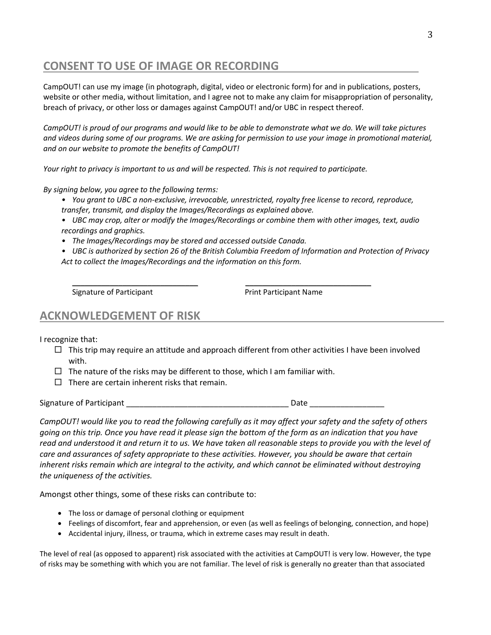# **CONSENT TO USE OF IMAGE OR RECORDING**

CampOUT! can use my image (in photograph, digital, video or electronic form) for and in publications, posters, website or other media, without limitation, and I agree not to make any claim for misappropriation of personality, breach of privacy, or other loss or damages against CampOUT! and/or UBC in respect thereof.

*CampOUT! is proud of our programs and would like to be able to demonstrate what we do. We will take pictures and videos during some of our programs. We are asking for permission to use your image in promotional material, and on our website to promote the benefits of CampOUT!*

*Your right to privacy is important to us and will be respected. This is not required to participate.* 

*By signing below, you agree to the following terms:*

- *• You grant to UBC a non-exclusive, irrevocable, unrestricted, royalty free license to record, reproduce, transfer, transmit, and display the Images/Recordings as explained above.*
- *• UBC may crop, alter or modify the Images/Recordings or combine them with other images, text, audio recordings and graphics.*
- *• The Images/Recordings may be stored and accessed outside Canada.*
- *• UBC is authorized by section 26 of the British Columbia Freedom of Information and Protection of Privacy Act to collect the Images/Recordings and the information on this form.*

 $\overline{\phantom{a}}$  , and the contract of the contract of the contract of the contract of the contract of the contract of the contract of the contract of the contract of the contract of the contract of the contract of the contrac

Signature of Participant **Print Participant Name** 

### **ACKNOWLEDGEMENT OF RISK**

I recognize that:

- $\Box$  This trip may require an attitude and approach different from other activities I have been involved with.
- $\Box$  The nature of the risks may be different to those, which I am familiar with.
- $\Box$  There are certain inherent risks that remain.

Signature of Participant the contract of the state of  $\Gamma$  and  $\Gamma$  and  $\Gamma$  and  $\Gamma$  are  $\Gamma$  and  $\Gamma$  are  $\Gamma$  and  $\Gamma$  are  $\Gamma$  and  $\Gamma$  are  $\Gamma$  and  $\Gamma$  are  $\Gamma$  and  $\Gamma$  are  $\Gamma$  and  $\Gamma$  are  $\Gamma$  and  $\Gamma$  are  $\Gamma$  a

*CampOUT! would like you to read the following carefully as it may affect your safety and the safety of others going on this trip. Once you have read it please sign the bottom of the form as an indication that you have read and understood it and return it to us. We have taken all reasonable steps to provide you with the level of care and assurances of safety appropriate to these activities. However, you should be aware that certain inherent risks remain which are integral to the activity, and which cannot be eliminated without destroying the uniqueness of the activities.* 

Amongst other things, some of these risks can contribute to:

- The loss or damage of personal clothing or equipment
- Feelings of discomfort, fear and apprehension, or even (as well as feelings of belonging, connection, and hope)
- Accidental injury, illness, or trauma, which in extreme cases may result in death.

The level of real (as opposed to apparent) risk associated with the activities at CampOUT! is very low. However, the type of risks may be something with which you are not familiar. The level of risk is generally no greater than that associated